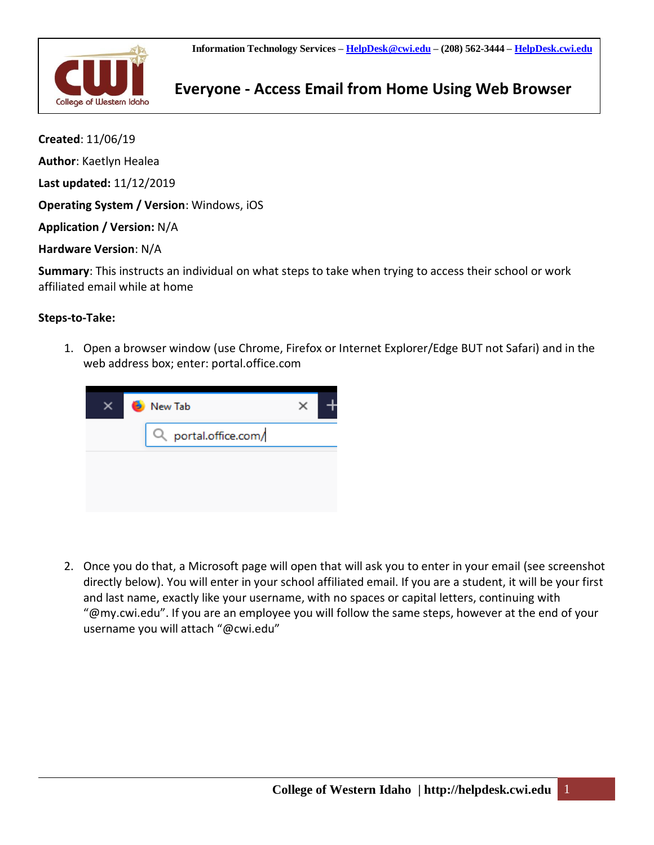

## **Everyone - Access Email from Home Using Web Browser** College of Western Idaho

**Created**: 11/06/19 **Author**: Kaetlyn Healea **Last updated:** 11/12/2019 **Operating System / Version**: Windows, iOS **Application / Version:** N/A **Hardware Version**: N/A

**Summary**: This instructs an individual on what steps to take when trying to access their school or work affiliated email while at home

## **Steps-to-Take:**

1. Open a browser window (use Chrome, Firefox or Internet Explorer/Edge BUT not Safari) and in the web address box; enter: portal.office.com



2. Once you do that, a Microsoft page will open that will ask you to enter in your email (see screenshot directly below). You will enter in your school affiliated email. If you are a student, it will be your first and last name, exactly like your username, with no spaces or capital letters, continuing with "@my.cwi.edu". If you are an employee you will follow the same steps, however at the end of your username you will attach "@cwi.edu"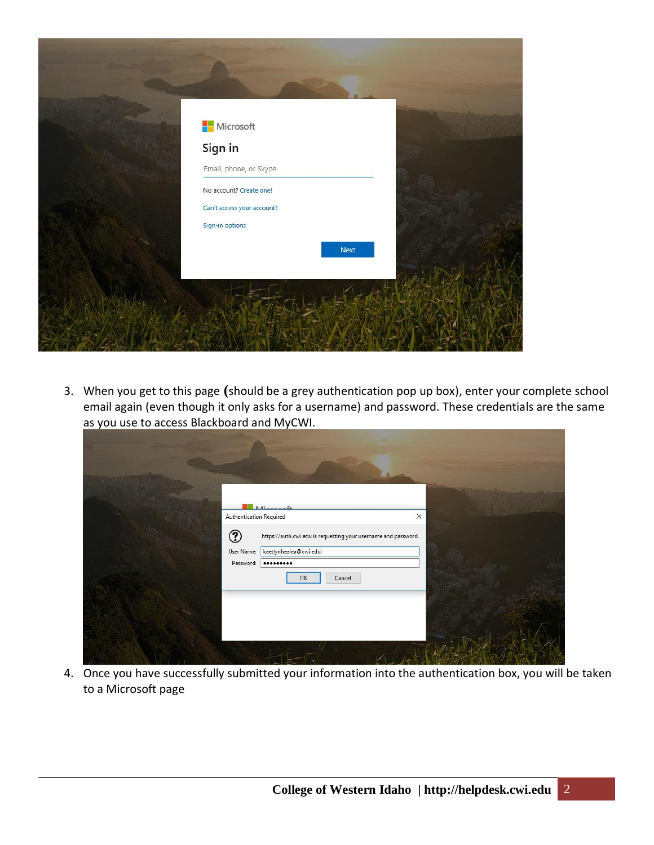

3. When you get to this page **(**should be a grey authentication pop up box), enter your complete school email again (even though it only asks for a username) and password. These credentials are the same as you use to access Blackboard and MyCWI.

| <b>Adiamacath</b><br>Authentication Required<br>$^\circledR$<br>https://auth.cwi.edu is requesting your username and password.<br>kaetlynhealea@cwi.edu<br>User Name:<br>Password:<br><br>OK<br>Cancel | $\times$ |
|--------------------------------------------------------------------------------------------------------------------------------------------------------------------------------------------------------|----------|
|                                                                                                                                                                                                        |          |

4. Once you have successfully submitted your information into the authentication box, you will be taken to a Microsoft page